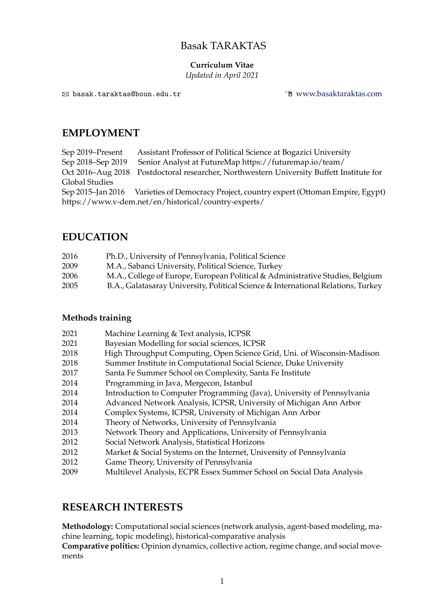# Basak TARAKTAS

### **Curriculum Vitae**

*Updated in April 2021*

! basak.taraktas@boun.edu.tr ! [www.basaktaraktas.com](http://www.basaktaraktas.com)

## **EMPLOYMENT**

Sep 2019–Present Assistant Professor of Political Science at Bogazici University Sep 2018–Sep 2019 Senior Analyst at FutureMap https://futuremap.io/team/ Oct 2016–Aug 2018 Postdoctoral researcher, Northwestern University Buffett Institute for Global Studies Sep 2015–Jan 2016 Varieties of Democracy Project, country expert (Ottoman Empire, Egypt) https://www.v-dem.net/en/historical/country-experts/

# **EDUCATION**

| 2016 | Ph.D., University of Pennsylvania, Political Science                              |
|------|-----------------------------------------------------------------------------------|
| 2009 | M.A., Sabanci University, Political Science, Turkey                               |
| 2006 | M.A., College of Europe, European Political & Administrative Studies, Belgium     |
| 2005 | B.A., Galatasaray University, Political Science & International Relations, Turkey |

## **Methods training**

| 2021 | Machine Learning & Text analysis, ICPSR                                 |
|------|-------------------------------------------------------------------------|
| 2021 | Bayesian Modelling for social sciences, ICPSR                           |
| 2018 | High Throughput Computing, Open Science Grid, Uni. of Wisconsin-Madison |
| 2018 | Summer Institute in Computational Social Science, Duke University       |
| 2017 | Santa Fe Summer School on Complexity, Santa Fe Institute                |
| 2014 | Programming in Java, Mergecon, Istanbul                                 |
| 2014 | Introduction to Computer Programming (Java), University of Pennsylvania |
| 2014 | Advanced Network Analysis, ICPSR, University of Michigan Ann Arbor      |
| 2014 | Complex Systems, ICPSR, University of Michigan Ann Arbor                |
| 2014 | Theory of Networks, University of Pennsylvania                          |
| 2013 | Network Theory and Applications, University of Pennsylvania             |
| 2012 | Social Network Analysis, Statistical Horizons                           |
| 2012 | Market & Social Systems on the Internet, University of Pennsylvania     |
| 2012 | Game Theory, University of Pennsylvania                                 |
| 2009 | Multilevel Analysis, ECPR Essex Summer School on Social Data Analysis   |

# **RESEARCH INTERESTS**

**Methodology:** Computational social sciences (network analysis, agent-based modeling, machine learning, topic modeling), historical-comparative analysis

**Comparative politics:** Opinion dynamics, collective action, regime change, and social movements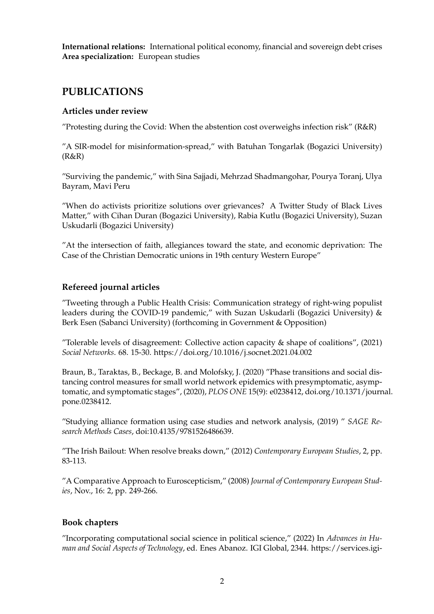**International relations:** International political economy, financial and sovereign debt crises **Area specialization:** European studies

# **PUBLICATIONS**

### **Articles under review**

"Protesting during the Covid: When the abstention cost overweighs infection risk" (R&R)

"A SIR-model for misinformation-spread," with Batuhan Tongarlak (Bogazici University)  $(R&R)$ 

"Surviving the pandemic," with Sina Sajjadi, Mehrzad Shadmangohar, Pourya Toranj, Ulya Bayram, Mavi Peru

"When do activists prioritize solutions over grievances? A Twitter Study of Black Lives Matter," with Cihan Duran (Bogazici University), Rabia Kutlu (Bogazici University), Suzan Uskudarli (Bogazici University)

"At the intersection of faith, allegiances toward the state, and economic deprivation: The Case of the Christian Democratic unions in 19th century Western Europe"

## **Refereed journal articles**

"Tweeting through a Public Health Crisis: Communication strategy of right-wing populist leaders during the COVID-19 pandemic," with Suzan Uskudarli (Bogazici University) & Berk Esen (Sabanci University) (forthcoming in Government & Opposition)

"Tolerable levels of disagreement: Collective action capacity  $\&$  shape of coalitions", (2021) *Social Networks*. 68. 15-30. https://doi.org/10.1016/j.socnet.2021.04.002

Braun, B., Taraktas, B., Beckage, B. and Molofsky, J. (2020) "Phase transitions and social distancing control measures for small world network epidemics with presymptomatic, asymptomatic, and symptomatic stages", (2020), *PLOS ONE* 15(9): e0238412, doi.org/10.1371/journal. pone.0238412.

"Studying alliance formation using case studies and network analysis, (2019) " *SAGE Research Methods Cases*, doi:10.4135/9781526486639.

"The Irish Bailout: When resolve breaks down," (2012) *Contemporary European Studies*, 2, pp. 83-113.

"A Comparative Approach to Euroscepticism," (2008) *Journal of Contemporary European Studies*, Nov., 16: 2, pp. 249-266.

#### **Book chapters**

"Incorporating computational social science in political science," (2022) In *Advances in Human and Social Aspects of Technology*, ed. Enes Abanoz. IGI Global, 2344. https://services.igi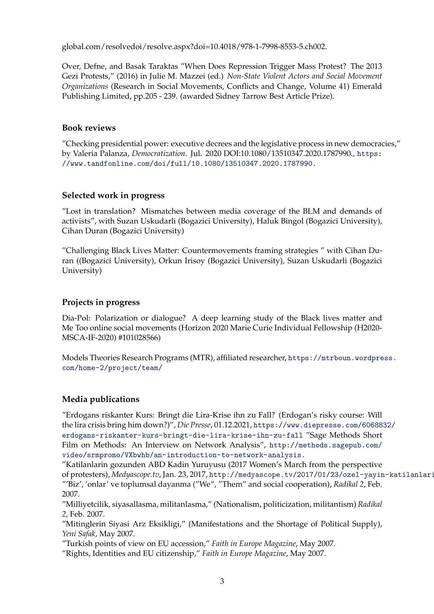global.com/resolvedoi/resolve.aspx?doi=10.4018/978-1-7998-8553-5.ch002.

Over, Defne, and Basak Taraktas "When Does Repression Trigger Mass Protest? The 2013 Gezi Protests," (2016) in Julie M. Mazzei (ed.) *Non-State Violent Actors and Social Movement Organizations* (Research in Social Movements, Conflicts and Change, Volume 41) Emerald Publishing Limited, pp.205 - 239. (awarded Sidney Tarrow Best Article Prize).

#### **Book reviews**

"Checking presidential power: executive decrees and the legislative process in new democracies," by Valeria Palanza, *Democratization*. Jul. 2020 DOI:10.1080/13510347.20[20.1787990.,](https://www.tandfonline.com/doi/full/10.1080/13510347.2020.1787990.) https: //www.tandfonline.com/doi/full/10.1080/13510347.2020.1787990.

#### **Selected work in progress**

"Lost in translation? Mismatches between media coverage of the BLM and demands of activists", with Suzan Uskudarli (Bogazici University), Haluk Bingol (Bogazici University), Cihan Duran (Bogazici University)

"Challenging Black Lives Matter: Countermovements framing strategies " with Cihan Duran ((Bogazici University), Orkun Irisoy (Bogazici University), Suzan Uskudarli (Bogazici University)

## **Projects in progress**

Dia-Pol: Polarization or dialogue? A deep learning study of the Black lives matter and Me Too online social movements (Horizon 2020 Marie Curie Individual Fellowship (H2020- MSCA-IF-2020) #101028566)

Models Theories Research Programs (MTR), affiliated researcher, [https://mtrboun.wordpress.](https://mtrboun.wordpress.com/home-2/project/team/) com/home-2/project/team/

## **Media publications**

"Erdogans riskanter Kurs: Bringt die Lira-Krise ihn zu Fall? (Erdogan's risky course: Will the lira crisis bring him down?)", *Die Presse*, 01.12.2021, https://www[.diepresse.com/6068832/](https://www.diepresse.com/6068832/erdogans-riskanter-kurs-bringt-die-lira-krise-ihn-zu-fall) erdogans-riskanter-kurs-bringt-die-lira-krise-ihn-zu-fall "Sage Methods Short Film on Methods: An Interview on Network Analysis", http://methods.sagepub.com/ video/srmpromo/VXbwhb/an-introduction-to-network-analysis.

"Katilanlarin gozunden ABD Kadin Yuruyusu (2017 Women's March from the perspective of protesters), *Medyascope.tv*, Jan. 23, 2017, http://medyascope.tv/2017/01/23/ozel-yayin-katilanlari "'Biz', 'onlar' ve toplumsal dayanma ("We", "Them" and social cooperation), *Radikal 2*, Feb. 2007.

"Milliyetcilik, siyasallasma, militanlasma," (Nationalism, politicization, militantism) *Radikal 2*, Feb. 2007.

"Mitinglerin Siyasi Arz Eksikligi," (Manifestations and the Shortage of Political Supply), *Yeni Safak*, May 2007.

"Turkish points of view on EU accession," *Faith in Europe Magazine*, May 2007.

"Rights, Identities and EU citizenship," *Faith in Europe Magazine*, May 2007.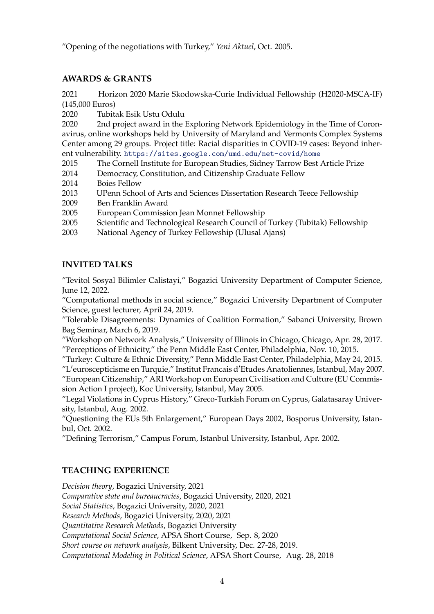"Opening of the negotiations with Turkey," *Yeni Aktuel*, Oct. 2005.

## **AWARDS & GRANTS**

2021 Horizon 2020 Marie Skodowska-Curie Individual Fellowship (H2020-MSCA-IF) (145,000 Euros)

2020 Tubitak Esik Ustu Odulu

2020 2nd project award in the Exploring Network Epidemiology in the Time of Coronavirus, online workshops held by University of Maryland and Vermonts Complex Systems Center among 29 groups. Project title: Racial disparities in COVID-19 cases: Beyond inherent vulnerability. https://sites.[google.com/umd.edu/net-covid/home](https://sites.google.com/umd.edu/net-covid/home)

2015 The Cornell Institute for European Studies, Sidney Tarrow Best Article Prize

- 2014 Democracy, Constitution, and Citizenship Graduate Fellow
- 2014 Boies Fellow
- 2013 UPenn School of Arts and Sciences Dissertation Research Teece Fellowship
- 2009 Ben Franklin Award

2005 European Commission Jean Monnet Fellowship

- 2005 Scientific and Technological Research Council of Turkey (Tubitak) Fellowship
- 2003 National Agency of Turkey Fellowship (Ulusal Ajans)

## **INVITED TALKS**

"Tevitol Sosyal Bilimler Calistayi," Bogazici University Department of Computer Science, June 12, 2022.

"Computational methods in social science," Bogazici University Department of Computer Science, guest lecturer, April 24, 2019.

"Tolerable Disagreements: Dynamics of Coalition Formation," Sabanci University, Brown Bag Seminar, March 6, 2019.

"Workshop on Network Analysis," University of Illinois in Chicago, Chicago, Apr. 28, 2017. "Perceptions of Ethnicity," the Penn Middle East Center, Philadelphia, Nov. 10, 2015.

"Turkey: Culture & Ethnic Diversity," Penn Middle East Center, Philadelphia, May 24, 2015.

"L′ euroscepticisme en Turquie," Institut Francais d′ Etudes Anatoliennes, Istanbul, May 2007. "European Citizenship," ARI Workshop on European Civilisation and Culture (EU Commission Action I project), Koc University, Istanbul, May 2005.

"Legal Violations in Cyprus History," Greco-Turkish Forum on Cyprus, Galatasaray University, Istanbul, Aug. 2002.

"Questioning the EUs 5th Enlargement," European Days 2002, Bosporus University, Istanbul, Oct. 2002.

"Defining Terrorism," Campus Forum, Istanbul University, Istanbul, Apr. 2002.

## **TEACHING EXPERIENCE**

*Decision theory*, Bogazici University, 2021 *Comparative state and bureaucracies*, Bogazici University, 2020, 2021 *Social Statistics*, Bogazici University, 2020, 2021 *Research Methods*, Bogazici University, 2020, 2021 *Quantitative Research Methods*, Bogazici University *Computational Social Science*, APSA Short Course, Sep. 8, 2020 *Short course on network analysis*, Bilkent University, Dec. 27-28, 2019. *Computational Modeling in Political Science*, APSA Short Course, Aug. 28, 2018